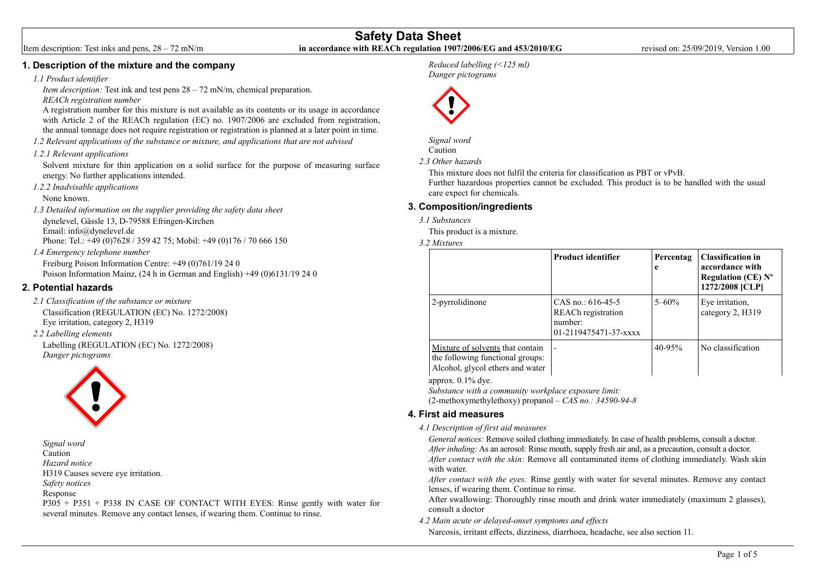## **1. Description of the mixture and the company**

#### *1.1 Product identifier*

*Item description:* Test ink and test pens  $28 - 72$  mN/m, chemical preparation. *REACh registration number*

A registration number for this mixture is not available as its contents or its usage in accordance with Article 2 of the REACh regulation (EC) no. 1907/2006 are excluded from registration. the annual tonnage does not require registration or registration is planned at a later point in time.

*1.2 Relevant applications of the substance or mixture, and applications that are not advised* 

#### *1.2.1 Relevant applications*

Solvent mixture for thin application on a solid surface for the purpose of measuring surface energy. No further applications intended.

*1.2.2 Inadvisable applications* None known.

*1.3 Detailed information on the supplier providing the safety data sheet*  dynelevel, Gässle 13, D-79588 Efringen-Kirchen Email: info@dynelevel.de Phone: Tel.: +49 (0)7628 / 359 42 75; Mobil: +49 (0)176 / 70 666 150

*1.4 Emergency telephone number*

Freiburg Poison Information Centre: +49 (0)761/19 24 0 Poison Information Mainz, (24 h in German and English) +49 (0)6131/19 24 0

## **2. Potential hazards**

*2.1 Classification of the substance or mixture* Classification (REGULATION (EC) No. 1272/2008) Eye irritation, category 2, H319

## *2.2 Labelling elements*

Labelling (REGULATION (EC) No. 1272/2008) *Danger pictograms*



*Signal word* Caution *Hazard notice* H319 Causes severe eye irritation. *Safety notices* Response P305 + P351 + P338 IN CASE OF CONTACT WITH EYES: Rinse gently with water for several minutes. Remove any contact lenses, if wearing them. Continue to rinse.

## *Reduced labelling (<125 ml) Danger pictograms*



*Signal word* Caution

*2.3 Other hazards*

This mixture does not fulfil the criteria for classification as PBT or vPvB. Further hazardous properties cannot be excluded. This product is to be handled with the usual care expect for chemicals.

# **3. Composition/ingredients**

*3.1 Substances*

This product is a mixture.

*3.2 Mixtures*

|                                                                                                          | <b>Product identifier</b>                                                     | Percentag<br>e | <b>Classification in</b><br>accordance with<br>Regulation ( $CE$ ) $N^{\circ}$<br>1272/2008 [CLP] |
|----------------------------------------------------------------------------------------------------------|-------------------------------------------------------------------------------|----------------|---------------------------------------------------------------------------------------------------|
| 2-pyrrolidinone                                                                                          | CAS no.: $616-45-5$<br>REACh registration<br>number:<br>01-2119475471-37-xxxx | $5 - 60\%$     | Eye irritation,<br>category 2, H319                                                               |
| Mixture of solvents that contain<br>the following functional groups:<br>Alcohol, glycol ethers and water |                                                                               | $40 - 95%$     | No classification                                                                                 |

approx. 0.1% dye.

*Substance with a community workplace exposure limit:*

(2-methoxymethylethoxy) propanol – *CAS no.: 34590-94-8*

## **4. First aid measures**

#### *4.1 Description of first aid measures*

*General notices:* Remove soiled clothing immediately. In case of health problems, consult a doctor. *After inhaling:* As an aerosol: Rinse mouth, supply fresh air and, as a precaution, consult a doctor. *After contact with the skin:* Remove all contaminated items of clothing immediately. Wash skin with water.

*After contact with the eyes:* Rinse gently with water for several minutes. Remove any contact lenses, if wearing them. Continue to rinse.

After swallowing: Thoroughly rinse mouth and drink water immediately (maximum 2 glasses), consult a doctor

*4.2 Main acute or delayed-onset symptoms and effects*

Narcosis, irritant effects, dizziness, diarrhoea, headache, see also section 11.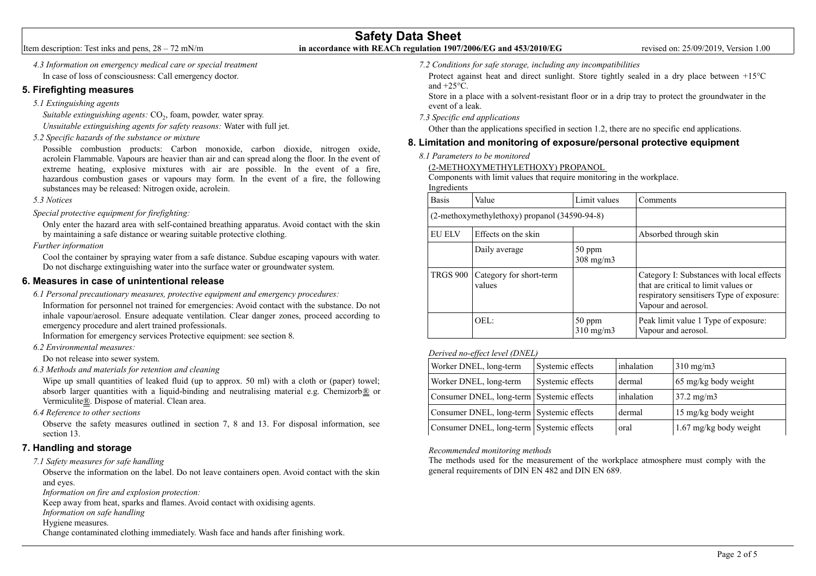# **Safety Data Sheet** Item description: Test inks and pens, 28 – 72 mN/m **in accordance with REACh regulation 1907/2006/EG and 453/2010/EG** revised on: 25/09/2019, Version 1.00

*4.3 Information on emergency medical care or special treatment*  In case of loss of consciousness: Call emergency doctor.

## **5. Firefighting measures**

*5.1 Extinguishing agents*

Suitable extinguishing agents: CO<sub>2</sub>, foam, powder, water spray.

*Unsuitable extinguishing agents for safety reasons:* Water with full jet.

*5.2 Specific hazards of the substance or mixture* 

Possible combustion products: Carbon monoxide, carbon dioxide, nitrogen oxide, acrolein Flammable. Vapours are heavier than air and can spread along the floor. In the event of extreme heating, explosive mixtures with air are possible. In the event of a fire, hazardous combustion gases or vapours may form. In the event of a fire, the following substances may be released: Nitrogen oxide, acrolein.

## *5.3 Notices*

*Special protective equipment for firefighting:*

Only enter the hazard area with self-contained breathing apparatus. Avoid contact with the skin by maintaining a safe distance or wearing suitable protective clothing.

*Further information*

Cool the container by spraying water from a safe distance. Subdue escaping vapours with water. Do not discharge extinguishing water into the surface water or groundwater system.

# **6. Measures in case of unintentional release**

*6.1 Personal precautionary measures, protective equipment and emergency procedures:* Information for personnel not trained for emergencies: Avoid contact with the substance. Do not inhale vapour/aerosol. Ensure adequate ventilation. Clear danger zones, proceed according to

emergency procedure and alert trained professionals.

Information for emergency services Protective equipment: see section 8.

*6.2 Environmental measures:*

Do not release into sewer system.

*6.3 Methods and materials for retention and cleaning* 

Wipe up small quantities of leaked fluid (up to approx. 50 ml) with a cloth or (paper) towel; absorb larger quantities with a liquid-binding and neutralising material e.g. Chemizorb® or Vermiculite®. Dispose of material. Clean area.

*6.4 Reference to other sections* 

Observe the safety measures outlined in section 7, 8 and 13. For disposal information, see section 13.

# **7. Handling and storage**

*7.1 Safety measures for safe handling* 

Observe the information on the label. Do not leave containers open. Avoid contact with the skin and eyes.

*Information on fire and explosion protection:*

Keep away from heat, sparks and flames. Avoid contact with oxidising agents.

*Information on safe handling*

Hygiene measures.

Change contaminated clothing immediately. Wash face and hands after finishing work.

*7.2 Conditions for safe storage, including any incompatibilities* 

Protect against heat and direct sunlight. Store tightly sealed in a dry place between +15°C and  $+25^{\circ}$ C.

Store in a place with a solvent-resistant floor or in a drip tray to protect the groundwater in the event of a leak.

*7.3 Specific end applications*

Other than the applications specified in section 1.2, there are no specific end applications.

# **8. Limitation and monitoring of exposure/personal protective equipment**

*8.1 Parameters to be monitored* 

(2-METHOXYMETHYLETHOXY) PROPANOL

Components with limit values that require monitoring in the workplace. Ingredients

| <b>Basis</b>    | Value                                         | Limit values                 | Comments                                                                                                                                              |
|-----------------|-----------------------------------------------|------------------------------|-------------------------------------------------------------------------------------------------------------------------------------------------------|
|                 | (2-methoxymethylethoxy) propanol (34590-94-8) |                              |                                                                                                                                                       |
| <b>EU ELV</b>   | Effects on the skin                           |                              | Absorbed through skin                                                                                                                                 |
|                 | Daily average                                 | 50 ppm<br>$308 \text{ mg/m}$ |                                                                                                                                                       |
| <b>TRGS 900</b> | Category for short-term<br>values             |                              | Category I: Substances with local effects<br>that are critical to limit values or<br>respiratory sensitisers Type of exposure:<br>Vapour and aerosol. |
|                 | OEL:                                          | $50$ ppm<br>$310$ mg/m $3$   | Peak limit value 1 Type of exposure:<br>Vapour and aerosol.                                                                                           |

## *Derived no-effect level (DNEL)*

| Worker DNEL, long-term                    | Systemic effects | inhalation | $310 \text{ mg/m}$       |
|-------------------------------------------|------------------|------------|--------------------------|
| Worker DNEL, long-term                    | Systemic effects | dermal     | 65 mg/kg body weight     |
| Consumer DNEL, long-term Systemic effects |                  | inhalation | $37.2 \text{ mg/m}$      |
| Consumer DNEL, long-term Systemic effects |                  | dermal     | 15 mg/kg body weight     |
| Consumer DNEL, long-term Systemic effects |                  | oral       | $1.67$ mg/kg body weight |

## *Recommended monitoring methods*

The methods used for the measurement of the workplace atmosphere must comply with the general requirements of DIN EN 482 and DIN EN 689.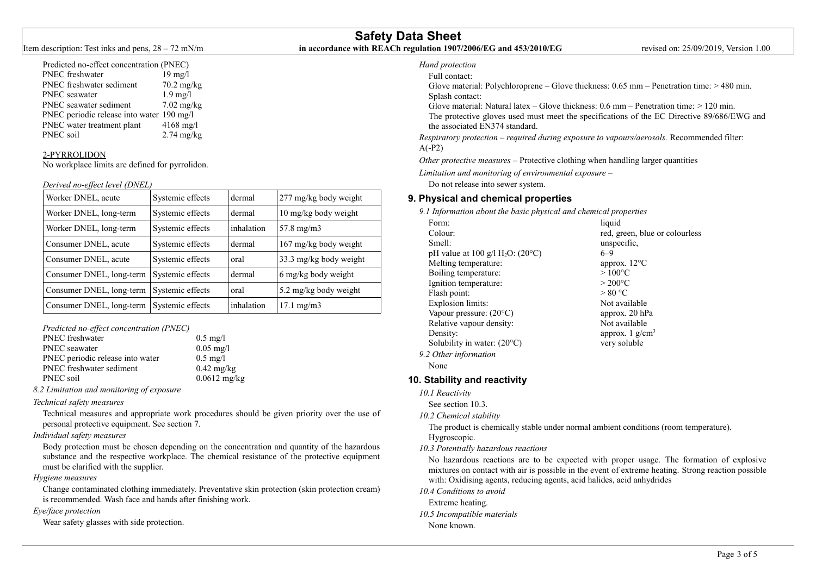# **Safety Data Sheet** Item description: Test inks and pens, 28 – 72 mN/m **in accordance with REACh regulation 1907/2006/EG and 453/2010/EG** revised on: 25/09/2019, Version 1.00

## Predicted no-effect concentration (PNEC) PNEC freshwater 19 mg/l

|           |                                           | 1/111771             |
|-----------|-------------------------------------------|----------------------|
|           | PNEC freshwater sediment                  | $70.2 \text{ mg/kg}$ |
|           | PNEC seawater                             | $1.9$ mg/l           |
|           | PNEC seawater sediment                    | $7.02 \text{ mg/kg}$ |
|           | PNEC periodic release into water 190 mg/l |                      |
|           | PNEC water treatment plant                | $4168$ mg/l          |
| PNEC soil |                                           | $2.74$ mg/kg         |
|           |                                           |                      |

#### 2-PYRROLIDON

No workplace limits are defined for pyrrolidon.

#### *Derived no-effect level (DNEL)*

| Worker DNEL, acute       | Systemic effects | dermal     | 277 mg/kg body weight  |
|--------------------------|------------------|------------|------------------------|
| Worker DNEL, long-term   | Systemic effects | dermal     | 10 mg/kg body weight   |
| Worker DNEL, long-term   | Systemic effects | inhalation | $57.8 \text{ mg/m}$    |
| Consumer DNEL, acute     | Systemic effects | dermal     | 167 mg/kg body weight  |
| Consumer DNEL, acute     | Systemic effects | oral       | 33.3 mg/kg body weight |
| Consumer DNEL, long-term | Systemic effects | dermal     | 6 mg/kg body weight    |
| Consumer DNEL, long-term | Systemic effects | oral       | 5.2 mg/kg body weight  |
| Consumer DNEL, long-term | Systemic effects | inhalation | $17.1 \text{ mg/m}$    |

*Predicted no-effect concentration (PNEC)*

| <b>PNEC</b> freshwater           | $0.5$ mg/l           |
|----------------------------------|----------------------|
| <b>PNEC</b> seawater             | $0.05 \text{ mg}/1$  |
| PNEC periodic release into water | $0.5 \text{ mg/l}$   |
| PNEC freshwater sediment         | $0.42 \text{ mg/kg}$ |
| PNEC soil                        | $0.0612 \text{ mg}$  |

*8.2 Limitation and monitoring of exposure* 

#### *Technical safety measures*

Technical measures and appropriate work procedures should be given priority over the use of personal protective equipment. See section 7.

! mg/kg

## *Individual safety measures*

Body protection must be chosen depending on the concentration and quantity of the hazardous substance and the respective workplace. The chemical resistance of the protective equipment must be clarified with the supplier.

#### *Hygiene measures*

Change contaminated clothing immediately. Preventative skin protection (skin protection cream) is recommended. Wash face and hands after finishing work.

#### *Eye/face protection*

Wear safety glasses with side protection.

#### *Hand protection* Full contact:

Glove material: Polychloroprene – Glove thickness: 0.65 mm – Penetration time: > 480 min. Splash contact:

Glove material: Natural latex – Glove thickness:  $0.6$  mm – Penetration time:  $> 120$  min. The protective gloves used must meet the specifications of the EC Directive 89/686/EWG and the associated EN374 standard.

*Respiratory protection – required during exposure to vapours/aerosols.* Recommended filter: A(-P2)

*Other protective measures –* Protective clothing when handling larger quantities

*Limitation and monitoring of environmental exposure –* 

Do not release into sewer system.

# **9. Physical and chemical properties**

*9.1 Information about the basic physical and chemical properties* 

| Form:                                           | liquid                         |
|-------------------------------------------------|--------------------------------|
| Colour:                                         | red, green, blue or colourless |
| Smell:                                          | unspecific.                    |
| pH value at 100 $g/I H2O$ : (20 <sup>o</sup> C) | $6 - 9$                        |
| Melting temperature:                            | approx. 12°C                   |
| Boiling temperature:                            | $>100^{\circ}$ C               |
| Ignition temperature:                           | $>200^{\circ}$ C               |
| Flash point:                                    | > 80 °C                        |
| <b>Explosion limits:</b>                        | Not available                  |
| Vapour pressure: $(20^{\circ}C)$                | approx. 20 hPa                 |
| Relative vapour density:                        | Not available                  |
| Density:                                        | approx. $1$ g/cm <sup>3</sup>  |
| Solubility in water: $(20^{\circ}C)$            | very soluble                   |
| 9.2 Other information                           |                                |
| None                                            |                                |

# **10. Stability and reactivity**

*10.1 Reactivity* 

See section 10.3.

*10.2 Chemical stability* 

The product is chemically stable under normal ambient conditions (room temperature). Hygroscopic.

*10.3 Potentially hazardous reactions* 

No hazardous reactions are to be expected with proper usage. The formation of explosive mixtures on contact with air is possible in the event of extreme heating. Strong reaction possible with: Oxidising agents, reducing agents, acid halides, acid anhydrides

*10.4 Conditions to avoid* 

Extreme heating.

*10.5 Incompatible materials* 

None known.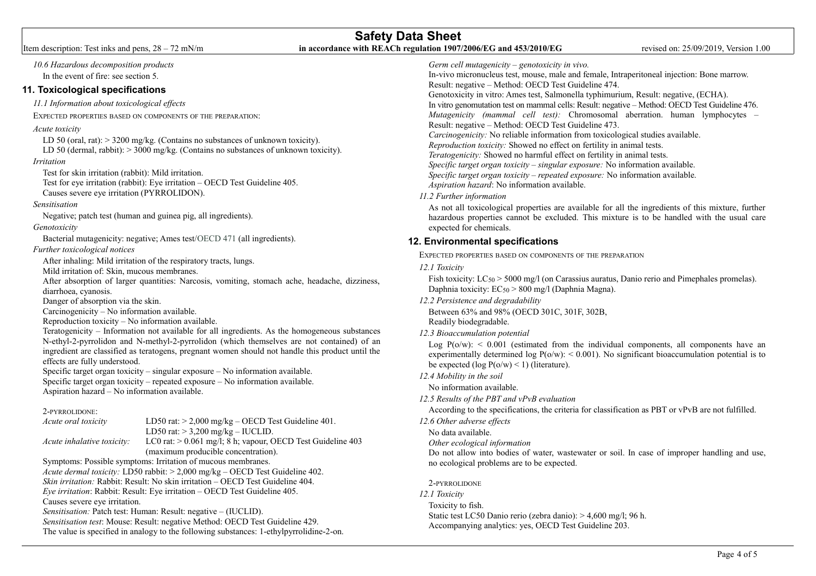#### *10.6 Hazardous decomposition products*  In the event of fire: see section 5. **11. Toxicological specifications** *11.1 Information about toxicological effects*  EXPECTED PROPERTIES BASED ON COMPONENTS OF THE PREPARATION: *Acute toxicity* LD 50 (oral, rat):  $> 3200$  mg/kg. (Contains no substances of unknown toxicity). LD 50 (dermal, rabbit):  $> 3000$  mg/kg. (Contains no substances of unknown toxicity). *Irritation* Test for skin irritation (rabbit): Mild irritation. Test for eye irritation (rabbit): Eye irritation – OECD Test Guideline 405. Causes severe eye irritation (PYRROLIDON). *Sensitisation* Negative; patch test (human and guinea pig, all ingredients). *Genotoxicity* Bacterial mutagenicity: negative; Ames test/OECD 471 (all ingredients). *Further toxicological notices* After inhaling: Mild irritation of the respiratory tracts, lungs. Mild irritation of: Skin, mucous membranes. After absorption of larger quantities: Narcosis, vomiting, stomach ache, headache, dizziness, diarrhoea, cyanosis. Danger of absorption via the skin. Carcinogenicity – No information available. Reproduction toxicity – No information available. Teratogenicity – Information not available for all ingredients. As the homogeneous substances N-ethyl-2-pyrrolidon and N-methyl-2-pyrrolidon (which themselves are not contained) of an ingredient are classified as teratogens, pregnant women should not handle this product until the effects are fully understood. Specific target organ toxicity – singular exposure – No information available. Specific target organ toxicity – repeated exposure – No information available. Aspiration hazard – No information available. 2-PYRROLIDONE: *Acute oral toxicity* LD50 rat: > 2,000 mg/kg – OECD Test Guideline 401. LD50 rat:  $> 3,200$  mg/kg – IUCLID. *Acute inhalative toxicity:* LC0 rat: > 0.061 mg/l; 8 h; vapour, OECD Test Guideline 403 (maximum producible concentration). Symptoms: Possible symptoms: Irritation of mucous membranes. *Acute dermal toxicity:* LD50 rabbit: > 2,000 mg/kg – OECD Test Guideline 402. *Skin irritation:* Rabbit: Result: No skin irritation – OECD Test Guideline 404. *Eye irritation*: Rabbit: Result: Eye irritation – OECD Test Guideline 405. Causes severe eye irritation. *Sensitisation:* Patch test: Human: Result: negative – (IUCLID). *Sensitisation test*: Mouse: Result: negative Method: OECD Test Guideline 429. The value is specified in analogy to the following substances: 1-ethylpyrrolidine-2-on. *Germ cell mutagenicity – genotoxicity in vivo.* In-vivo micronucleus test, mouse, male and female, Intraperitoneal injection: Bone marrow. Result: negative – Method: OECD Test Guideline 474. Genotoxicity in vitro: Ames test, Salmonella typhimurium, Result: negative, (ECHA). In vitro genomutation test on mammal cells: Result: negative – Method: OECD Test Guideline 476. *Mutagenicity (mammal cell test):* Chromosomal aberration. human lymphocytes – Result: negative – Method: OECD Test Guideline 473. *Carcinogenicity:* No reliable information from toxicological studies available. *Reproduction toxicity:* Showed no effect on fertility in animal tests. *Teratogenicity:* Showed no harmful effect on fertility in animal tests. *Specific target organ toxicity – singular exposure:* No information available. *Specific target organ toxicity – repeated exposure:* No information available. *Aspiration hazard*: No information available. *11.2 Further information*  As not all toxicological properties are available for all the ingredients of this mixture, further hazardous properties cannot be excluded. This mixture is to be handled with the usual care expected for chemicals. **12. Environmental specifications**  EXPECTED PROPERTIES BASED ON COMPONENTS OF THE PREPARATION *12.1 Toxicity*  Fish toxicity:  $LC_{50}$  > 5000 mg/l (on Carassius auratus, Danio rerio and Pimephales promelas). Daphnia toxicity: EC<sub>50</sub> > 800 mg/l (Daphnia Magna). *12.2 Persistence and degradability*  Between 63% and 98% (OECD 301C, 301F, 302B, Readily biodegradable. *12.3 Bioaccumulation potential*  Log  $P(0/w)$ : < 0.001 (estimated from the individual components, all components have an experimentally determined log  $P(\omega w)$ : < 0.001). No significant bioaccumulation potential is to be expected (log  $P(o/w) < 1$ ) (literature). *12.4 Mobility in the soil*  No information available. *12.5 Results of the PBT and vPvB evaluation*  According to the specifications, the criteria for classification as PBT or vPvB are not fulfilled. *12.6 Other adverse effects*  No data available. *Other ecological information* Do not allow into bodies of water, wastewater or soil. In case of improper handling and use, no ecological problems are to be expected. 2-PYRROLIDONE *12.1 Toxicity* Toxicity to fish. Static test LC50 Danio rerio (zebra danio): > 4,600 mg/l; 96 h. Accompanying analytics: yes, OECD Test Guideline 203.